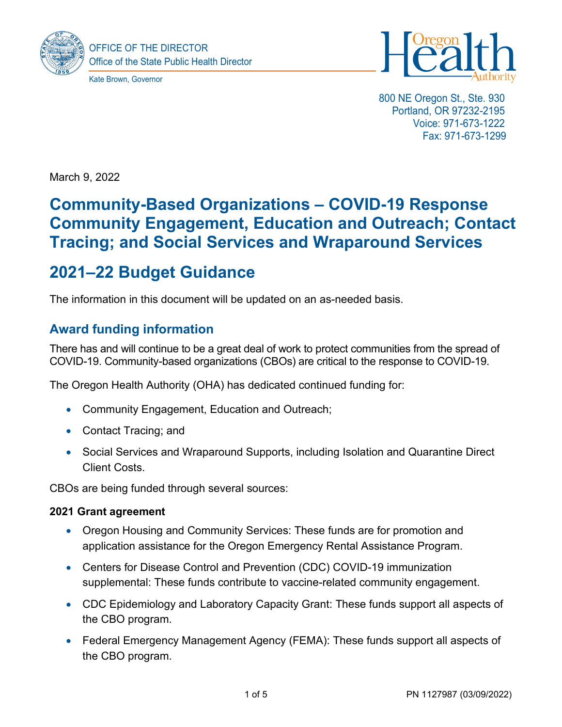

Kate Brown, Governor



800 NE Oregon St., Ste. 930 Portland, OR 97232-2195 Voice: 971-673-1222 Fax: 971-673-1299

March 9, 2022

# **Community-Based Organizations – COVID-19 Response Community Engagement, Education and Outreach; Contact Tracing; and Social Services and Wraparound Services**

# **2021–22 Budget Guidance**

The information in this document will be updated on an as-needed basis.

## **Award funding information**

There has and will continue to be a great deal of work to protect communities from the spread of COVID-19. Community-based organizations (CBOs) are critical to the response to COVID-19.

The Oregon Health Authority (OHA) has dedicated continued funding for:

- Community Engagement, Education and Outreach;
- Contact Tracing; and
- Social Services and Wraparound Supports, including Isolation and Quarantine Direct Client Costs.

CBOs are being funded through several sources:

#### **2021 Grant agreement**

- Oregon Housing and Community Services: These funds are for promotion and application assistance for the Oregon Emergency Rental Assistance Program.
- Centers for Disease Control and Prevention (CDC) COVID-19 immunization supplemental: These funds contribute to vaccine-related community engagement.
- CDC Epidemiology and Laboratory Capacity Grant: These funds support all aspects of the CBO program.
- Federal Emergency Management Agency (FEMA): These funds support all aspects of the CBO program.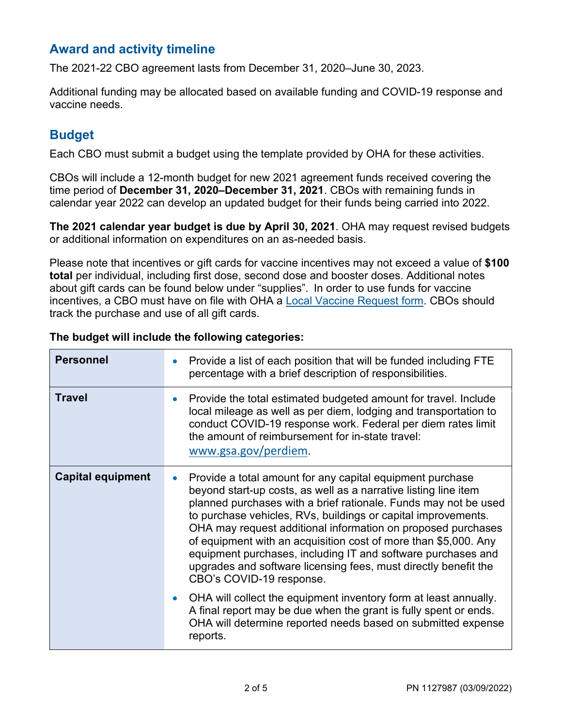## **Award and activity timeline**

The 2021-22 CBO agreement lasts from December 31, 2020–June 30, 2023.

Additional funding may be allocated based on available funding and COVID-19 response and vaccine needs.

# **Budget**

Each CBO must submit a budget using the template provided by OHA for these activities.

CBOs will include a 12-month budget for new 2021 agreement funds received covering the time period of **December 31, 2020–December 31, 2021**. CBOs with remaining funds in calendar year 2022 can develop an updated budget for their funds being carried into 2022.

**The 2021 calendar year budget is due by April 30, 2021**. OHA may request revised budgets or additional information on expenditures on an as-needed basis.

Please note that incentives or gift cards for vaccine incentives may not exceed a value of **\$100 total** per individual, including first dose, second dose and booster doses. Additional notes about gift cards can be found below under "supplies". In order to use funds for vaccine incentives, a CBO must have on file with OHA a [Local Vaccine Request form.](https://www.oregon.gov/oha/PH/PROVIDERPARTNERRESOURCES/LOCALHEALTHDEPARTMENTRESOURCES/Documents/Guidance/Local-Vaccine-Incentive-Request-Form-8.19.21.docx) CBOs should track the purchase and use of all gift cards.

| <b>Personnel</b>         | Provide a list of each position that will be funded including FTE<br>$\bullet$<br>percentage with a brief description of responsibilities.                                                                                                                                                                                                                                                                                                                                                                                                                                      |
|--------------------------|---------------------------------------------------------------------------------------------------------------------------------------------------------------------------------------------------------------------------------------------------------------------------------------------------------------------------------------------------------------------------------------------------------------------------------------------------------------------------------------------------------------------------------------------------------------------------------|
| <b>Travel</b>            | Provide the total estimated budgeted amount for travel. Include<br>$\bullet$<br>local mileage as well as per diem, lodging and transportation to<br>conduct COVID-19 response work. Federal per diem rates limit<br>the amount of reimbursement for in-state travel:<br>www.gsa.gov/perdiem.                                                                                                                                                                                                                                                                                    |
| <b>Capital equipment</b> | Provide a total amount for any capital equipment purchase<br>$\bullet$<br>beyond start-up costs, as well as a narrative listing line item<br>planned purchases with a brief rationale. Funds may not be used<br>to purchase vehicles, RVs, buildings or capital improvements.<br>OHA may request additional information on proposed purchases<br>of equipment with an acquisition cost of more than \$5,000. Any<br>equipment purchases, including IT and software purchases and<br>upgrades and software licensing fees, must directly benefit the<br>CBO's COVID-19 response. |
|                          | OHA will collect the equipment inventory form at least annually.<br>$\bullet$<br>A final report may be due when the grant is fully spent or ends.<br>OHA will determine reported needs based on submitted expense<br>reports.                                                                                                                                                                                                                                                                                                                                                   |

#### **The budget will include the following categories:**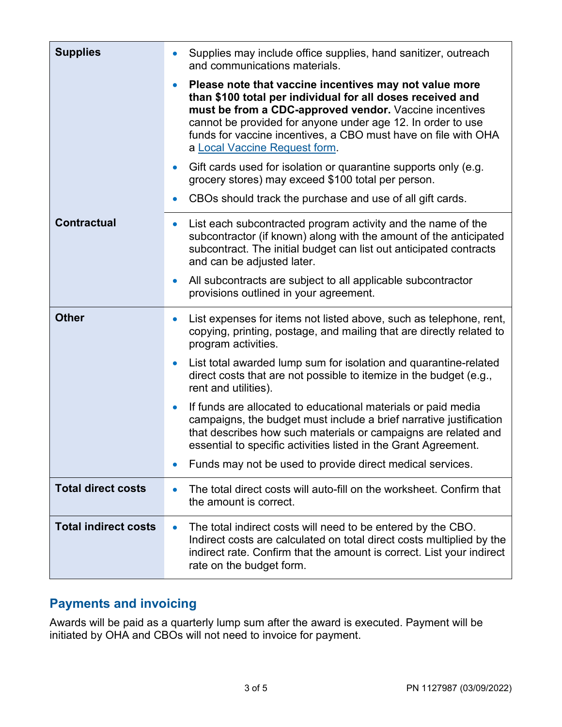| <b>Supplies</b>             | Supplies may include office supplies, hand sanitizer, outreach<br>$\bullet$<br>and communications materials.                                                                                                                                                                                                                                                  |
|-----------------------------|---------------------------------------------------------------------------------------------------------------------------------------------------------------------------------------------------------------------------------------------------------------------------------------------------------------------------------------------------------------|
|                             | Please note that vaccine incentives may not value more<br>$\bullet$<br>than \$100 total per individual for all doses received and<br>must be from a CDC-approved vendor. Vaccine incentives<br>cannot be provided for anyone under age 12. In order to use<br>funds for vaccine incentives, a CBO must have on file with OHA<br>a Local Vaccine Request form. |
|                             | Gift cards used for isolation or quarantine supports only (e.g.<br>$\bullet$<br>grocery stores) may exceed \$100 total per person.                                                                                                                                                                                                                            |
|                             | CBOs should track the purchase and use of all gift cards.<br>$\bullet$                                                                                                                                                                                                                                                                                        |
| <b>Contractual</b>          | List each subcontracted program activity and the name of the<br>$\bullet$<br>subcontractor (if known) along with the amount of the anticipated<br>subcontract. The initial budget can list out anticipated contracts<br>and can be adjusted later.                                                                                                            |
|                             | All subcontracts are subject to all applicable subcontractor<br>$\bullet$<br>provisions outlined in your agreement.                                                                                                                                                                                                                                           |
| <b>Other</b>                | List expenses for items not listed above, such as telephone, rent,<br>$\bullet$<br>copying, printing, postage, and mailing that are directly related to<br>program activities.                                                                                                                                                                                |
|                             | List total awarded lump sum for isolation and quarantine-related<br>$\bullet$<br>direct costs that are not possible to itemize in the budget (e.g.,<br>rent and utilities).                                                                                                                                                                                   |
|                             | If funds are allocated to educational materials or paid media<br>$\bullet$<br>campaigns, the budget must include a brief narrative justification<br>that describes how such materials or campaigns are related and<br>essential to specific activities listed in the Grant Agreement.                                                                         |
|                             | Funds may not be used to provide direct medical services.<br>$\bullet$                                                                                                                                                                                                                                                                                        |
| <b>Total direct costs</b>   | The total direct costs will auto-fill on the worksheet. Confirm that<br>$\bullet$<br>the amount is correct.                                                                                                                                                                                                                                                   |
| <b>Total indirect costs</b> | The total indirect costs will need to be entered by the CBO.<br>$\bullet$<br>Indirect costs are calculated on total direct costs multiplied by the<br>indirect rate. Confirm that the amount is correct. List your indirect<br>rate on the budget form.                                                                                                       |

# **Payments and invoicing**

Awards will be paid as a quarterly lump sum after the award is executed. Payment will be initiated by OHA and CBOs will not need to invoice for payment.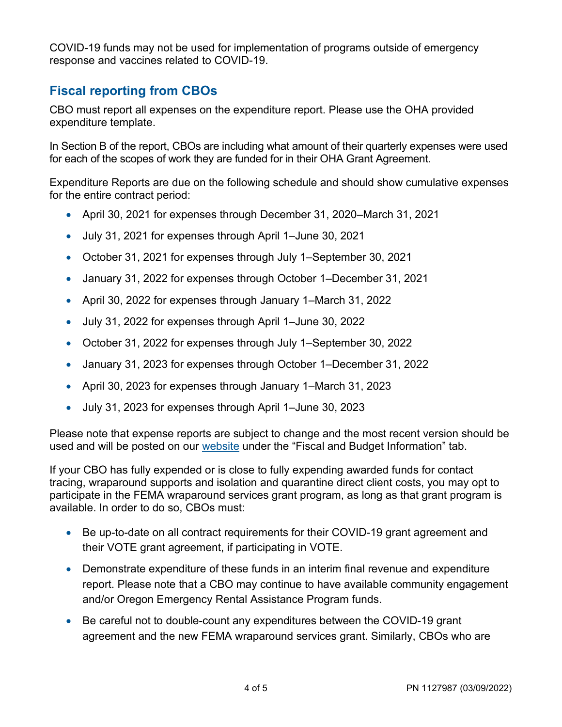COVID-19 funds may not be used for implementation of programs outside of emergency response and vaccines related to COVID-19.

# **Fiscal reporting from CBOs**

CBO must report all expenses on the expenditure report. Please use the OHA provided expenditure template.

In Section B of the report, CBOs are including what amount of their quarterly expenses were used for each of the scopes of work they are funded for in their OHA Grant Agreement.

Expenditure Reports are due on the following schedule and should show cumulative expenses for the entire contract period:

- April 30, 2021 for expenses through December 31, 2020–March 31, 2021
- July 31, 2021 for expenses through April 1–June 30, 2021
- October 31, 2021 for expenses through July 1–September 30, 2021
- January 31, 2022 for expenses through October 1–December 31, 2021
- April 30, 2022 for expenses through January 1–March 31, 2022
- July 31, 2022 for expenses through April 1–June 30, 2022
- October 31, 2022 for expenses through July 1–September 30, 2022
- January 31, 2023 for expenses through October 1–December 31, 2022
- April 30, 2023 for expenses through January 1–March 31, 2023
- July 31, 2023 for expenses through April 1–June 30, 2023

Please note that expense reports are subject to change and the most recent version should be used and will be posted on our [website](https://www.oregon.gov/oha/PH/ABOUT/Pages/CBO-Grantee-Resources.aspx) under the "Fiscal and Budget Information" tab.

If your CBO has fully expended or is close to fully expending awarded funds for contact tracing, wraparound supports and isolation and quarantine direct client costs, you may opt to participate in the FEMA wraparound services grant program, as long as that grant program is available. In order to do so, CBOs must:

- Be up-to-date on all contract requirements for their COVID-19 grant agreement and their VOTE grant agreement, if participating in VOTE.
- Demonstrate expenditure of these funds in an interim final revenue and expenditure report. Please note that a CBO may continue to have available community engagement and/or Oregon Emergency Rental Assistance Program funds.
- Be careful not to double-count any expenditures between the COVID-19 grant agreement and the new FEMA wraparound services grant. Similarly, CBOs who are